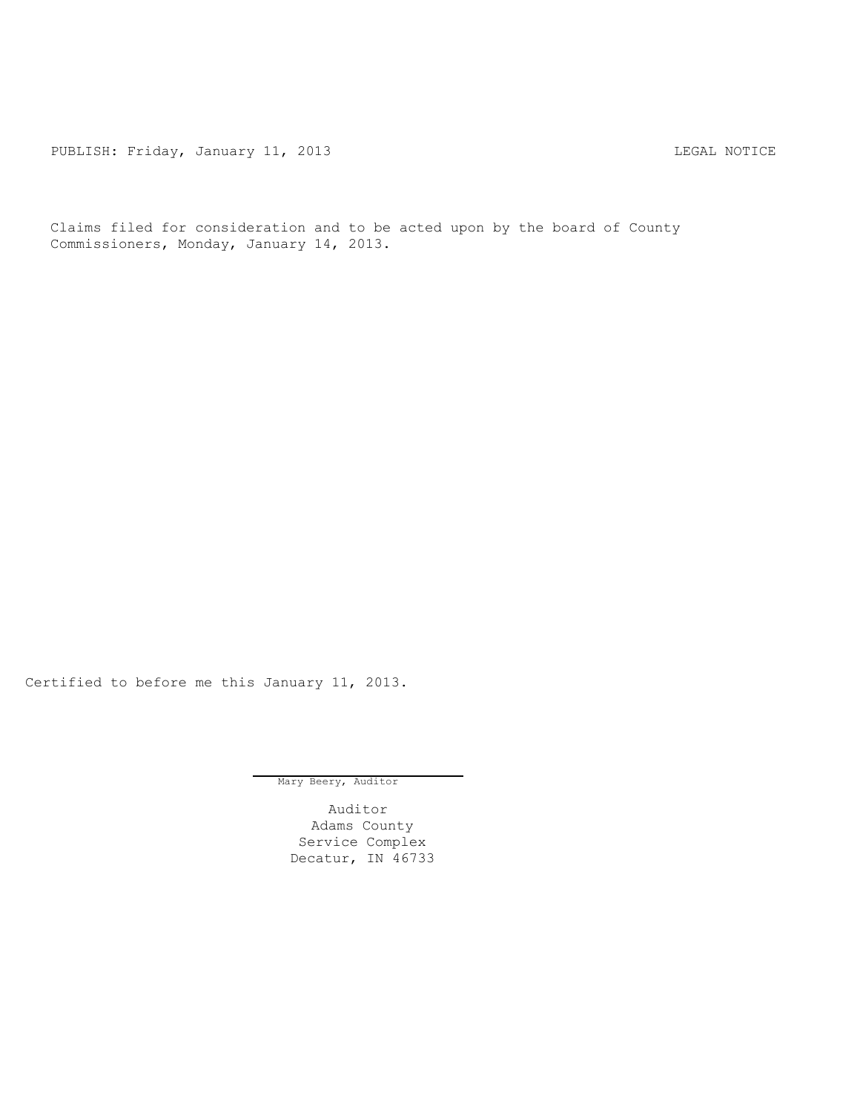PUBLISH: Friday, January 11, 2013 CHA CHANGE AND THE MOTICE

Claims filed for consideration and to be acted upon by the board of County Commissioners, Monday, January 14, 2013.

Certified to before me this January 11, 2013.

Mary Beery, Auditor

Auditor Adams County Service Complex Decatur, IN 46733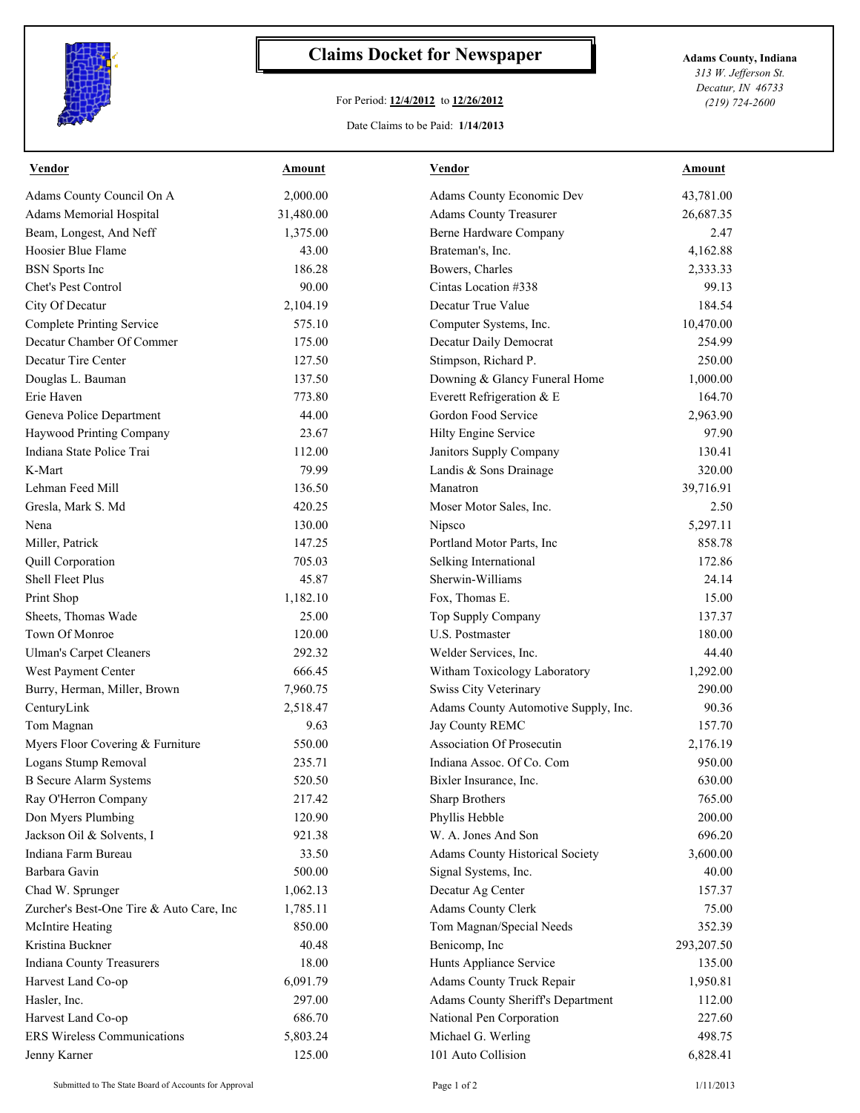

## **Claims Docket for Newspaper Adams County, Indiana**

## For Period: **12/4/2012** to **12/26/2012**

*313 W. Jefferson St. Decatur, IN 46733 (219) 724-2600*

## Date Claims to be Paid: **1/14/2013**

| <b>Vendor</b>                            | <u>Amount</u> | <b>Vendor</b>                        | <b>Amount</b> |
|------------------------------------------|---------------|--------------------------------------|---------------|
| Adams County Council On A                | 2,000.00      | Adams County Economic Dev            | 43,781.00     |
| Adams Memorial Hospital                  | 31,480.00     | <b>Adams County Treasurer</b>        | 26,687.35     |
| Beam, Longest, And Neff                  | 1,375.00      | Berne Hardware Company               | 2.47          |
| Hoosier Blue Flame                       | 43.00         | Brateman's, Inc.                     | 4,162.88      |
| <b>BSN</b> Sports Inc                    | 186.28        | Bowers, Charles                      | 2,333.33      |
| Chet's Pest Control                      | 90.00         | Cintas Location #338                 | 99.13         |
| City Of Decatur                          | 2,104.19      | Decatur True Value                   | 184.54        |
| <b>Complete Printing Service</b>         | 575.10        | Computer Systems, Inc.               | 10,470.00     |
| Decatur Chamber Of Commer                | 175.00        | Decatur Daily Democrat               | 254.99        |
| Decatur Tire Center                      | 127.50        | Stimpson, Richard P.                 | 250.00        |
| Douglas L. Bauman                        | 137.50        | Downing & Glancy Funeral Home        | 1,000.00      |
| Erie Haven                               | 773.80        | Everett Refrigeration & E            | 164.70        |
| Geneva Police Department                 | 44.00         | Gordon Food Service                  | 2,963.90      |
| Haywood Printing Company                 | 23.67         | Hilty Engine Service                 | 97.90         |
| Indiana State Police Trai                | 112.00        | Janitors Supply Company              | 130.41        |
| K-Mart                                   | 79.99         | Landis & Sons Drainage               | 320.00        |
| Lehman Feed Mill                         | 136.50        | Manatron                             | 39,716.91     |
| Gresla, Mark S. Md                       | 420.25        | Moser Motor Sales, Inc.              | 2.50          |
| Nena                                     | 130.00        | Nipsco                               | 5,297.11      |
| Miller, Patrick                          | 147.25        | Portland Motor Parts, Inc            | 858.78        |
| Quill Corporation                        | 705.03        | Selking International                | 172.86        |
| Shell Fleet Plus                         | 45.87         | Sherwin-Williams                     | 24.14         |
| Print Shop                               | 1,182.10      | Fox, Thomas E.                       | 15.00         |
| Sheets, Thomas Wade                      | 25.00         | Top Supply Company                   | 137.37        |
| Town Of Monroe                           | 120.00        | U.S. Postmaster                      | 180.00        |
| <b>Ulman's Carpet Cleaners</b>           | 292.32        | Welder Services, Inc.                | 44.40         |
| West Payment Center                      | 666.45        | Witham Toxicology Laboratory         | 1,292.00      |
| Burry, Herman, Miller, Brown             | 7,960.75      | Swiss City Veterinary                | 290.00        |
| CenturyLink                              | 2,518.47      | Adams County Automotive Supply, Inc. | 90.36         |
| Tom Magnan                               | 9.63          | Jay County REMC                      | 157.70        |
| Myers Floor Covering & Furniture         | 550.00        | Association Of Prosecutin            | 2,176.19      |
| Logans Stump Removal                     | 235.71        | Indiana Assoc. Of Co. Com            | 950.00        |
| <b>B</b> Secure Alarm Systems            | 520.50        | Bixler Insurance, Inc.               | 630.00        |
| Ray O'Herron Company                     | 217.42        | Sharp Brothers                       | 765.00        |
| Don Myers Plumbing                       | 120.90        | Phyllis Hebble                       | 200.00        |
| Jackson Oil & Solvents, I                | 921.38        | W. A. Jones And Son                  | 696.20        |
| Indiana Farm Bureau                      | 33.50         | Adams County Historical Society      | 3,600.00      |
| Barbara Gavin                            | 500.00        | Signal Systems, Inc.                 | 40.00         |
| Chad W. Sprunger                         | 1,062.13      | Decatur Ag Center                    | 157.37        |
| Zurcher's Best-One Tire & Auto Care, Inc | 1,785.11      | <b>Adams County Clerk</b>            | 75.00         |
| McIntire Heating                         | 850.00        | Tom Magnan/Special Needs             | 352.39        |
| Kristina Buckner                         | 40.48         | Benicomp, Inc                        | 293,207.50    |
| Indiana County Treasurers                | 18.00         | Hunts Appliance Service              | 135.00        |
| Harvest Land Co-op                       | 6,091.79      | Adams County Truck Repair            | 1,950.81      |
| Hasler, Inc.                             | 297.00        | Adams County Sheriff's Department    | 112.00        |
| Harvest Land Co-op                       | 686.70        | National Pen Corporation             | 227.60        |
| <b>ERS Wireless Communications</b>       | 5,803.24      | Michael G. Werling                   | 498.75        |
| Jenny Karner                             | 125.00        | 101 Auto Collision                   | 6,828.41      |